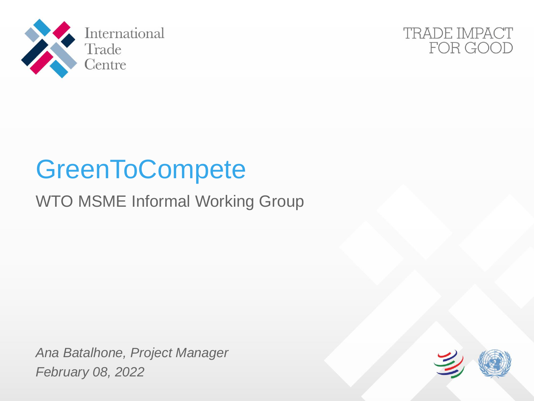



# **GreenToCompete**

### WTO MSME Informal Working Group

*Ana Batalhone, Project Manager February 08, 2022*

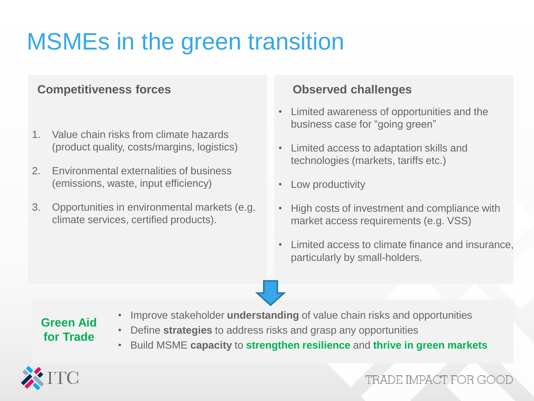## MSMEs in the green transition

#### **Competitiveness forces Competitiveness forces Competitiveness forces**

- 1. Value chain risks from climate hazards (product quality, costs/margins, logistics)
- 2. Environmental externalities of business (emissions, waste, input efficiency)
- 3. Opportunities in environmental markets (e.g. climate services, certified products).

- Limited awareness of opportunities and the business case for "going green"
- Limited access to adaptation skills and technologies (markets, tariffs etc.)
- Low productivity
- High costs of investment and compliance with market access requirements (e.g. VSS)
- Limited access to climate finance and insurance, particularly by small-holders.

#### **Green Aid for Trade**

- Improve stakeholder **understanding** of value chain risks and opportunities
- Define **strategies** to address risks and grasp any opportunities
- Build MSME **capacity** to **strengthen resilience** and **thrive in green markets**



### TRADE IMPACT FOR GO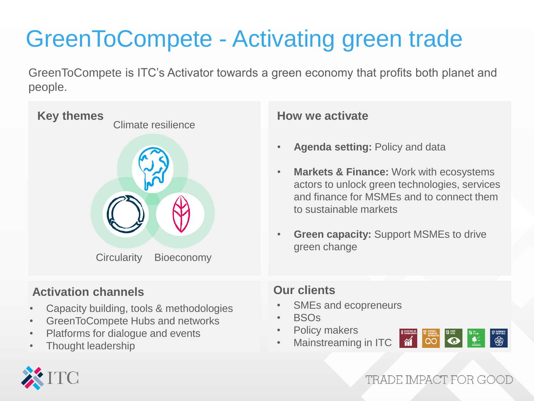# GreenToCompete - Activating green trade

GreenToCompete is ITC's Activator towards a green economy that profits both planet and people.



### **Activation channels**

- Capacity building, tools & methodologies
- GreenToCompete Hubs and networks
- Platforms for dialogue and events
- Thought leadership

#### **How we activate**

- **Agenda setting:** Policy and data
- **Markets & Finance:** Work with ecosystems actors to unlock green technologies, services and finance for MSMEs and to connect them to sustainable markets
- **Green capacity: Support MSMEs to drive** green change

#### **Our clients**

- SMEs and ecopreneurs
- BSOs
- Policy makers
- Mainstreaming in ITC 77



TRADE IMPACT FOR GOO

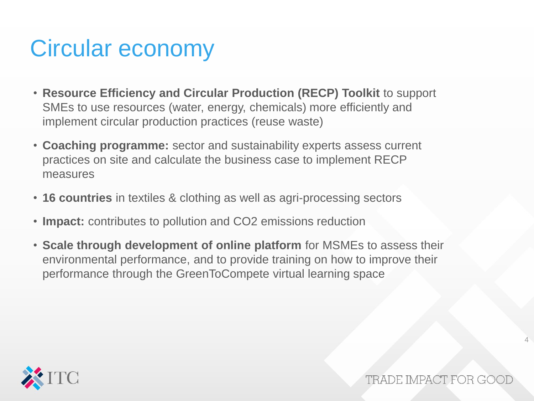### Circular economy

- **Resource Efficiency and Circular Production (RECP) Toolkit** to support SMEs to use resources (water, energy, chemicals) more efficiently and implement circular production practices (reuse waste)
- **Coaching programme:** sector and sustainability experts assess current practices on site and calculate the business case to implement RECP measures
- **16 countries** in textiles & clothing as well as agri-processing sectors
- **Impact:** contributes to pollution and CO2 emissions reduction
- **Scale through development of online platform** for MSMEs to assess their environmental performance, and to provide training on how to improve their performance through the GreenToCompete virtual learning space



TRADE IMPACT FOR GO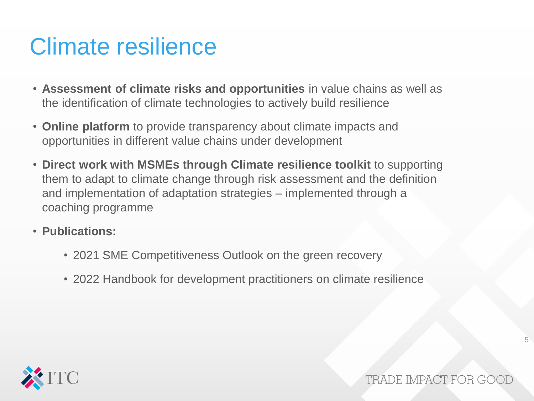### Climate resilience

- **Assessment of climate risks and opportunities** in value chains as well as the identification of climate technologies to actively build resilience
- **Online platform** to provide transparency about climate impacts and opportunities in different value chains under development
- **Direct work with MSMEs through Climate resilience toolkit** to supporting them to adapt to climate change through risk assessment and the definition and implementation of adaptation strategies – implemented through a coaching programme
- **Publications:** 
	- 2021 SME Competitiveness Outlook on the green recovery
	- 2022 Handbook for development practitioners on climate resilience



TRADE IMPACT FOR G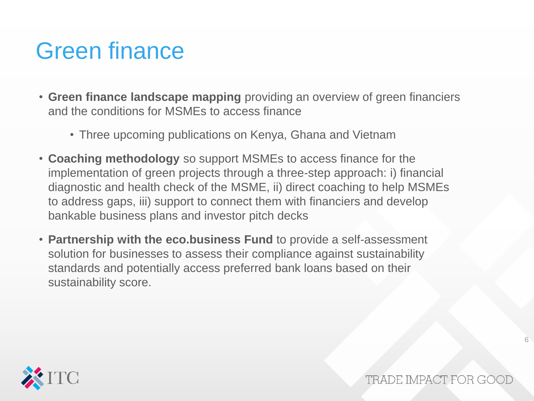### Green finance

- **Green finance landscape mapping** providing an overview of green financiers and the conditions for MSMEs to access finance
	- Three upcoming publications on Kenya, Ghana and Vietnam
- **Coaching methodology** so support MSMEs to access finance for the implementation of green projects through a three-step approach: i) financial diagnostic and health check of the MSME, ii) direct coaching to help MSMEs to address gaps, iii) support to connect them with financiers and develop bankable business plans and investor pitch decks
- **Partnership with the eco.business Fund** to provide a self-assessment solution for businesses to assess their compliance against sustainability standards and potentially access preferred bank loans based on their sustainability score.

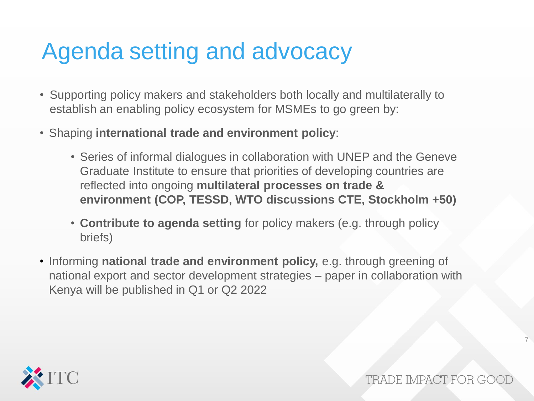### Agenda setting and advocacy

- Supporting policy makers and stakeholders both locally and multilaterally to establish an enabling policy ecosystem for MSMEs to go green by:
- Shaping **international trade and environment policy**:
	- Series of informal dialogues in collaboration with UNEP and the Geneve Graduate Institute to ensure that priorities of developing countries are reflected into ongoing **multilateral processes on trade & environment (COP, TESSD, WTO discussions CTE, Stockholm +50)**
	- **Contribute to agenda setting** for policy makers (e.g. through policy briefs)
- Informing **national trade and environment policy,** e.g. through greening of national export and sector development strategies – paper in collaboration with Kenya will be published in Q1 or Q2 2022



TRADE IMPACT FOR GO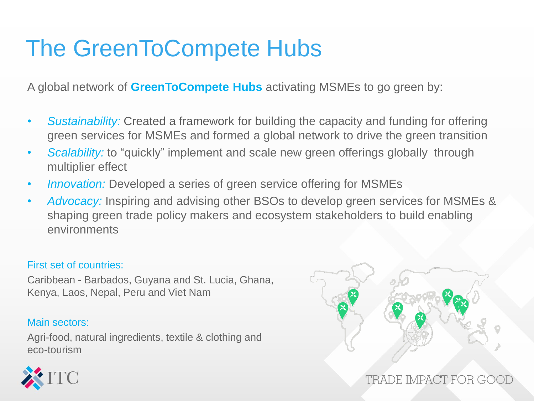### The GreenToCompete Hubs

A global network of **GreenToCompete Hubs** activating MSMEs to go green by:

- *Sustainability:* Created a framework for building the capacity and funding for offering green services for MSMEs and formed a global network to drive the green transition
- *Scalability:* to "quickly" implement and scale new green offerings globally through multiplier effect
- *Innovation:* Developed a series of green service offering for MSMEs
- *Advocacy:* Inspiring and advising other BSOs to develop green services for MSMEs & shaping green trade policy makers and ecosystem stakeholders to build enabling environments

#### First set of countries:

Caribbean - Barbados, Guyana and St. Lucia, Ghana, Kenya, Laos, Nepal, Peru and Viet Nam

#### Main sectors:

Agri-food, natural ingredients, textile & clothing and eco-tourism



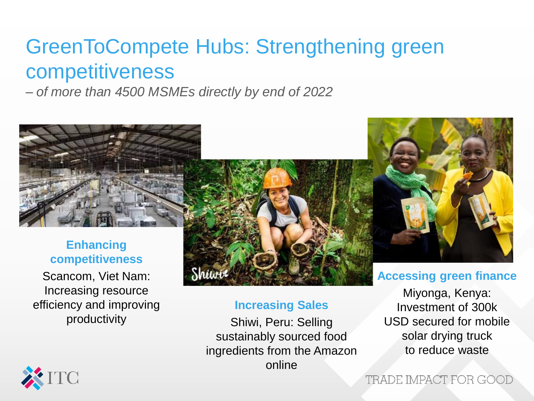### GreenToCompete Hubs: Strengthening green competitiveness

*– of more than 4500 MSMEs directly by end of 2022*



**Enhancing competitiveness** Scancom, Viet Nam: Increasing resource efficiency and improving productivity



#### **Increasing Sales**

Shiwi, Peru: Selling sustainably sourced food ingredients from the Amazon online

**Accessing green finance**

Miyonga, Kenya: Investment of 300k USD secured for mobile solar drying truck to reduce waste